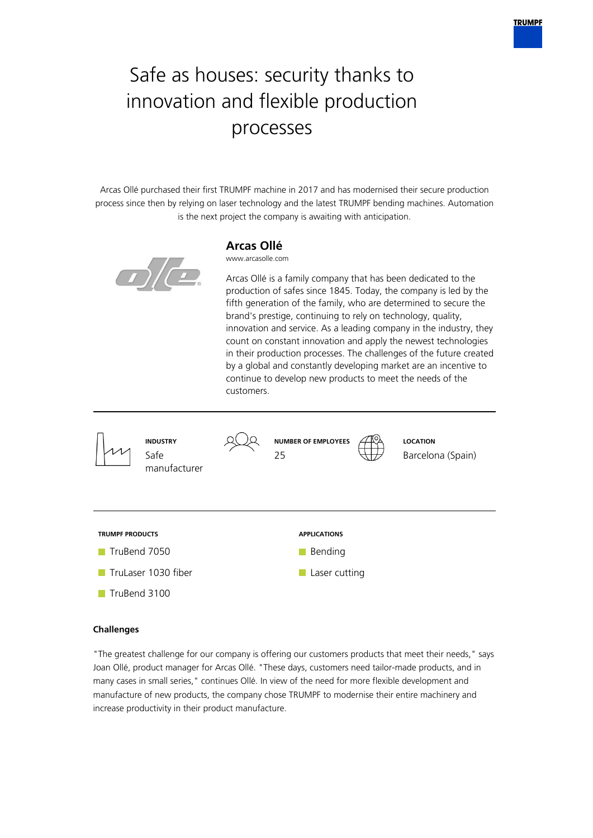# Safe as houses: security thanks to innovation and flexible production processes

Arcas Ollé purchased their first TRUMPF machine in 2017 and has modernised their secure production process since then by relying on laser technology and the latest TRUMPF bending machines. Automation is the next project the company is awaiting with anticipation.



# **Arcas Ollé**

www.arcasolle.com

Arcas Ollé is a family company that has been dedicated to the production of safes since 1845. Today, the company is led by the fifth generation of the family, who are determined to secure the brand's prestige, continuing to rely on technology, quality, innovation and service. As a leading company in the industry, they count on constant innovation and apply the newest technologies in their production processes. The challenges of the future created by a global and constantly developing market are an incentive to continue to develop new products to meet the needs of the customers.



## **Challenges**

"The greatest challenge for our company is offering our customers products that meet their needs," says Joan Ollé, product manager for Arcas Ollé. "These days, customers need tailor-made products, and in many cases in small series," continues Ollé. In view of the need for more flexible development and manufacture of new products, the company chose TRUMPF to modernise their entire machinery and increase productivity in their product manufacture.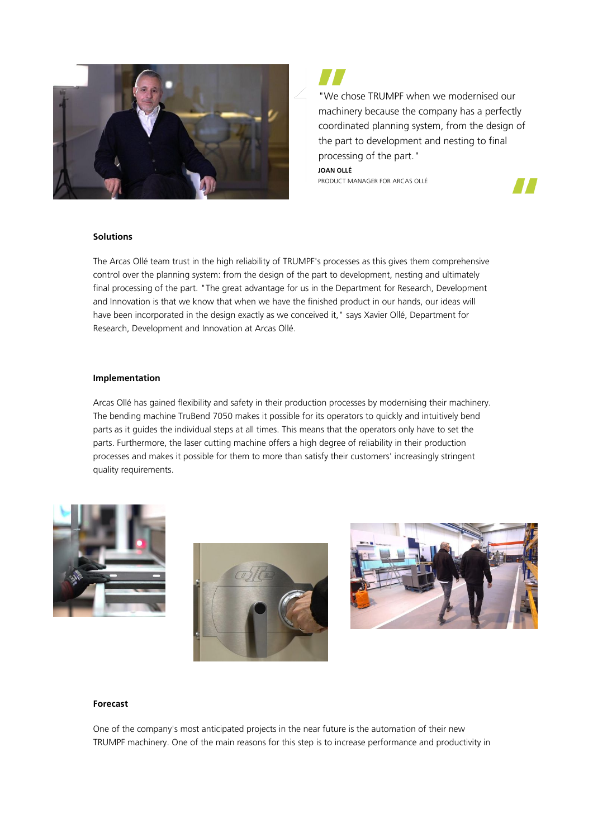

"We chose TRUMPF when we modernised our machinery because the company has a perfectly coordinated planning system, from the design of the part to development and nesting to final processing of the part."

**JOAN OLLÉ** PRODUCT MANAGER FOR ARCAS OLLÉ



#### **Solutions**

The Arcas Ollé team trust in the high reliability of TRUMPF's processes as this gives them comprehensive control over the planning system: from the design of the part to development, nesting and ultimately final processing of the part. "The great advantage for us in the Department for Research, Development and Innovation is that we know that when we have the finished product in our hands, our ideas will have been incorporated in the design exactly as we conceived it," says Xavier Ollé, Department for Research, Development and Innovation at Arcas Ollé.

#### **Implementation**

Arcas Ollé has gained flexibility and safety in their production processes by modernising their machinery. The bending machine TruBend 7050 makes it possible for its operators to quickly and intuitively bend parts as it guides the individual steps at all times. This means that the operators only have to set the parts. Furthermore, the laser cutting machine offers a high degree of reliability in their production processes and makes it possible for them to more than satisfy their customers' increasingly stringent quality requirements.







## **Forecast**

One of the company's most anticipated projects in the near future is the automation of their new TRUMPF machinery. One of the main reasons for this step is to increase performance and productivity in